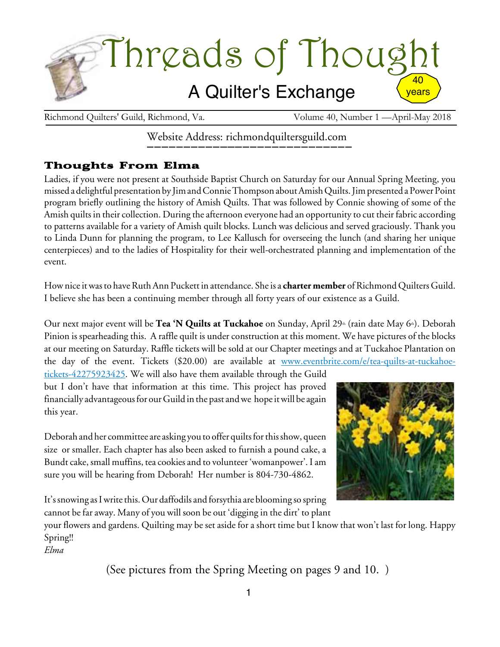

Richmond Quilters' Guild, Richmond, Va. Volume 40, Number 1 —April-May 2018

Website Address: richmondquiltersguild.com

## Thoughts From Elma

Ladies, if you were not present at Southside Baptist Church on Saturday for our Annual Spring Meeting, you missed a delightful presentation by JimandConnieThompson aboutAmishQuilts.Jimpresented aPowerPoint program briefly outlining the history of Amish Quilts. That was followed by Connie showing of some of the Amish quilts in their collection. During the afternoon everyone had an opportunity to cut their fabric according to patterns available for a variety of Amish quilt blocks. Lunch was delicious and served graciously. Thank you to Linda Dunn for planning the program, to Lee Kallusch for overseeing the lunch (and sharing her unique centerpieces) and to the ladies of Hospitality for their well-orchestrated planning and implementation of the event.

Howniceitwasto haveRuthAnn Puckett in attendance. Sheis a **charter member** ofRichmondQuilters Guild. I believe she has been a continuing member through all forty years of our existence as a Guild.

Our next major event will be **Tea 'N Quilts at Tuckahoe** on Sunday, April 29<sup>th</sup> (rain date May 6<sup>th</sup>). Deborah Pinion is spearheading this. A raffle quilt is under construction at this moment. We have pictures of the blocks at our meeting on Saturday. Raffle tickets will be sold at our Chapter meetings and at Tuckahoe Plantation on the day of the event. Tickets (\$20.00) are available at [www.eventbrite.com/e/tea-quilts-at-tuckahoe](http://www.eventbrite.com/e/tea-quilts-at-tuckahoe-tickets-42275923425)[tickets-42275923425.](http://www.eventbrite.com/e/tea-quilts-at-tuckahoe-tickets-42275923425) We will also have them available through the Guild

but I don't have that information at this time. This project has proved financially advantageous for our Guild in the past and we hope it will be again this year.

Deborah and her committee are asking you to offer quilts for this show, queen size or smaller. Each chapter has also been asked to furnish a pound cake, a Bundt cake, small muffins, tea cookies and to volunteer 'womanpower'. I am sure you will be hearing from Deborah! Her number is 804-730-4862.



It's snowing as I write this. Our daffodils and forsythia are blooming so spring

cannot be far away. Many of you will soon be out 'digging in the dirt' to plant

your flowers and gardens. Quilting may be set aside for a short time but I know that won't last for long. Happy Spring!!

*Elma*

(See pictures from the Spring Meeting on pages 9 and 10. )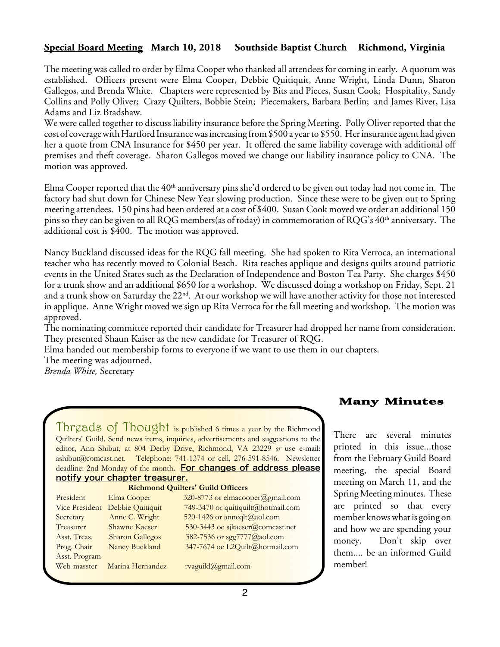## **Special Board Meeting March 10, 2018 Southside Baptist Church Richmond, Virginia**

The meeting was called to order by Elma Cooper who thanked all attendees for coming in early. A quorum was established. Officers present were Elma Cooper, Debbie Quitiquit, Anne Wright, Linda Dunn, Sharon Gallegos, and Brenda White. Chapters were represented by Bits and Pieces, Susan Cook; Hospitality, Sandy Collins and Polly Oliver; Crazy Quilters, Bobbie Stein; Piecemakers, Barbara Berlin; and James River, Lisa Adams and Liz Bradshaw.

We were called together to discuss liability insurance before the Spring Meeting. Polly Oliver reported that the cost of coverage with Hartford Insurance was increasing from \$500 a year to \$550. Her insurance agent had given her a quote from CNA Insurance for \$450 per year. It offered the same liability coverage with additional off premises and theft coverage. Sharon Gallegos moved we change our liability insurance policy to CNA. The motion was approved.

Elma Cooper reported that the  $40<sup>th</sup>$  anniversary pins she'd ordered to be given out today had not come in. The factory had shut down for Chinese New Year slowing production. Since these were to be given out to Spring meeting attendees. 150 pins had been ordered at a cost of \$400. SusanCook moved we order an additional 150 pins so they can be given to all RQG members(as of today) in commemoration of RQG's 40th anniversary. The additional cost is \$400. The motion was approved.

Nancy Buckland discussed ideas for the RQG fall meeting. She had spoken to Rita Verroca, an international teacher who has recently moved to Colonial Beach. Rita teaches applique and designs quilts around patriotic events in the United States such as the Declaration of Independence and Boston Tea Party. She charges \$450 for a trunk show and an additional \$650 for a workshop. We discussed doing a workshop on Friday, Sept. 21 and a trunk show on Saturday the 22nd. At our workshop we will have another activity for those not interested in applique. Anne Wright moved we sign up Rita Verroca for the fall meeting and workshop. The motion was approved.

The nominating committee reported their candidate for Treasurer had dropped her name from consideration. They presented Shaun Kaiser as the new candidate for Treasurer of RQG.

Elma handed out membership forms to everyone if we want to use them in our chapters.

The meeting was adjourned.

*Brenda White,* Secretary

Threads of Thought is published 6 times a year by the Richmond Quilters' Guild. Send news items, inquiries, advertisements and suggestions to the editor, Ann Shibut, at 804 Derby Drive, Richmond, VA 23229 *or* use e-mail: ashibut@comcast.net. Telephone: 741-1374 or cell, 276-591-8546. Newsletter deadline: 2nd Monday of the month. For changes of address please notify your chapter treasurer.

| Richmond Quilters Guild Officers |                        |                                    |
|----------------------------------|------------------------|------------------------------------|
| President                        | Elma Cooper            | 320-8773 or elmacooper@gmail.com   |
| Vice President                   | Debbie Quitiquit       | 749-3470 or quitiquilt@hotmail.com |
| Secretary                        | Anne C. Wright         | 520-1426 or anneqlt@aol.com        |
| Treasurer                        | Shawne Kaeser          | 530-3443 oe sjkaeser@comcast.net   |
| Asst. Treas.                     | <b>Sharon Gallegos</b> | 382-7536 or sgg7777@aol.com        |
| Prog. Chair                      | Nancy Buckland         | 347-7674 oe L2Quilt@hotmail.com    |
| Asst. Program                    |                        |                                    |
| Web-masster                      | Marina Hernandez       | rvaguild@gmail.com                 |

**Richmond Quilters' Guild Officers**

## Many Minutes

There are several minutes printed in this issue...those from the February Guild Board meeting, the special Board meeting on March 11, and the Spring Meeting minutes. These are printed so that every member knows what is going on and how we are spending your money. Don't skip over them.... be an informed Guild member!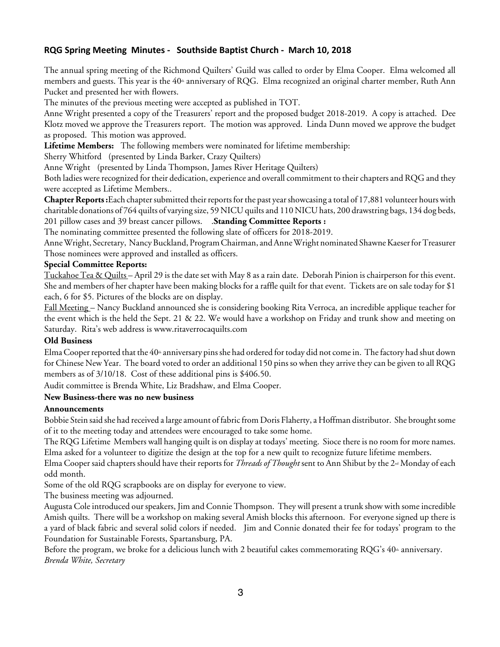### **RQG Spring Meeting Minutes - Southside Baptist Church - March 10, 2018**

The annual spring meeting of the Richmond Quilters' Guild was called to order by Elma Cooper. Elma welcomed all members and guests. This year is the 40<sup>th</sup> anniversary of RQG. Elma recognized an original charter member, Ruth Ann Pucket and presented her with flowers.

The minutes of the previous meeting were accepted as published in TOT.

Anne Wright presented a copy of the Treasurers' report and the proposed budget 2018-2019. A copy is attached. Dee Klotz moved we approve the Treasurers report. The motion was approved. Linda Dunn moved we approve the budget as proposed. This motion was approved.

**Lifetime Members:** The following members were nominated for lifetime membership:

Sherry Whitford (presented by Linda Barker, Crazy Quilters)

Anne Wright (presented by Linda Thompson, James River Heritage Quilters)

Both ladies were recognized for their dedication, experience and overall commitment to their chapters and RQG and they were accepted as Lifetime Members..

**Chapter Reports:** Each chapter submitted their reports for the past year showcasing a total of 17,881 volunteer hours with charitable donations of 764 quilts of varying size, 59 NICU quilts and 110 NICU hats, 200 drawstring bags, 134 dog beds, 201 pillow cases and 39 breast cancer pillows. .**Standing Committee Reports :**

The nominating committee presented the following slate of officers for 2018-2019.

Anne Wright, Secretary, Nancy Buckland, Program Chairman, and Anne Wright nominated Shawne Kaeser for Treasurer Those nominees were approved and installed as officers.

#### **Special Committee Reports:**

Tuckahoe Tea & Quilts – April 29 is the date set with May 8 as a rain date. Deborah Pinion is chairperson for this event. She and members of her chapter have been making blocks for a raffle quilt for that event. Tickets are on sale today for \$1 each, 6 for \$5. Pictures of the blocks are on display.

Fall Meeting – Nancy Buckland announced she is considering booking Rita Verroca, an incredible applique teacher for the event which is the held the Sept. 21 & 22. We would have a workshop on Friday and trunk show and meeting on Saturday. Rita's web address is www.ritaverrocaquilts.com

#### **Old Business**

Elma Cooper reported that the  $40<sup>th</sup>$  anniversary pins she had ordered for today did not come in. The factory had shut down for Chinese New Year. The board voted to order an additional 150 pins so when they arrive they can be given to all RQG members as of  $3/10/18$ . Cost of these additional pins is \$406.50.

Audit committee is Brenda White, Liz Bradshaw, and Elma Cooper.

#### **New Business-there was no new business**

#### **Announcements**

Bobbie Stein said she had received a large amount of fabric from Doris Flaherty, a Hoffman distributor. She brought some of it to the meeting today and attendees were encouraged to take some home.

The RQG Lifetime Members wall hanging quilt is on display at todays' meeting. Siocethereis no room for more names. Elma asked for a volunteer to digitize the design at the top for a new quilt to recognize future lifetime members.

Elma Cooper said chapters should have their reports for *Threads of Thought* sent to Ann Shibut by the 2<sup>nd</sup> Monday of each odd month.

Some of the old RQG scrapbooks are on display for everyone to view.

The business meeting was adjourned.

Augusta Cole introduced our speakers, Jim and Connie Thompson. They will present a trunk show with some incredible Amish quilts. There will be a workshop on making several Amish blocks this afternoon. For everyone signed up there is a yard of black fabric and several solid colors if needed. Jim and Connie donated their fee for todays' program to the Foundation for Sustainable Forests, Spartansburg, PA.

Before the program, we broke for a delicious lunch with 2 beautiful cakes commemorating  $RQG's 40<sup>th</sup>$  anniversary. *Brenda White, Secretary*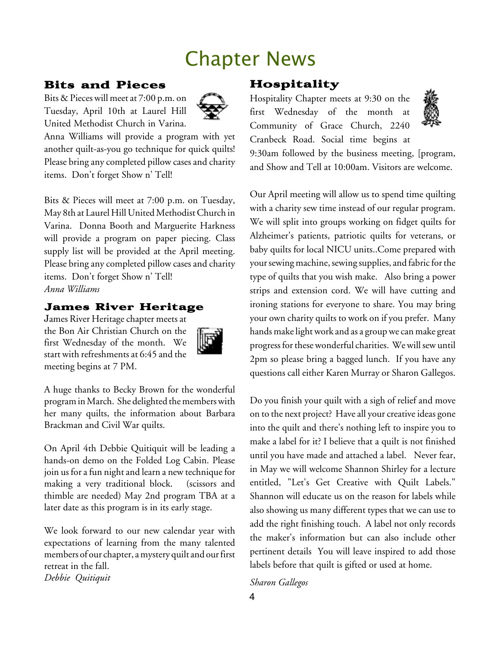## Chapter News

## Bits and Pieces

Bits & Pieces will meet at 7:00 p.m. on Tuesday, April 10th at Laurel Hill United Methodist Church in Varina.



Anna Williams will provide a program with yet another quilt-as-you go technique for quick quilts! Please bring any completed pillow cases and charity items. Don't forget Show n' Tell!

Bits & Pieces will meet at 7:00 p.m. on Tuesday, May 8th at Laurel Hill United Methodist Church in Varina. Donna Booth and Marguerite Harkness will provide a program on paper piecing. Class supply list will be provided at the April meeting. Please bring any completed pillow cases and charity items. Don't forget Show n' Tell! *Anna Williams*

## James River Heritage

James River Heritage chapter meets at the Bon Air Christian Church on the first Wednesday of the month. We start with refreshments at 6:45 and the meeting begins at 7 PM.



A huge thanks to Becky Brown for the wonderful program in March. She delighted the members with her many quilts, the information about Barbara Brackman and Civil War quilts.

On April 4th Debbie Quitiquit will be leading a hands-on demo on the Folded Log Cabin. Please join us for a fun night and learn a new technique for making a very traditional block. (scissors and thimble are needed) May 2nd program TBA at a later date as this program is in its early stage.

We look forward to our new calendar year with expectations of learning from the many talented members of our chapter, a mystery quilt and our first retreat in the fall. *Debbie Quitiquit*

## Hospitality

Hospitality Chapter meets at 9:30 on the first Wednesday of the month at Community of Grace Church, 2240 Cranbeck Road. Social time begins at



9:30am followed by the business meeting, [program, and Show and Tell at 10:00am. Visitors are welcome.

Our April meeting will allow us to spend time quilting with a charity sew time instead of our regular program. We will split into groups working on fidget quilts for Alzheimer's patients, patriotic quilts for veterans, or baby quilts for local NICU units..Come prepared with your sewing machine, sewing supplies, and fabric for the type of quilts that you wish make. Also bring a power strips and extension cord. We will have cutting and ironing stations for everyone to share. You may bring your own charity quilts to work on if you prefer. Many hands make light work and as a group we can make great progress for these wonderful charities. We will sew until 2pm so please bring a bagged lunch. If you have any questions call either Karen Murray or Sharon Gallegos.

Do you finish your quilt with a sigh of relief and move on to the next project? Have all your creative ideas gone into the quilt and there's nothing left to inspire you to make a label for it? I believe that a quilt is not finished until you have made and attached a label. Never fear, in May we will welcome Shannon Shirley for a lecture entitled, "Let's Get Creative with Quilt Labels." Shannon will educate us on the reason for labels while also showing us many different types that we can use to add the right finishing touch. A label not only records the maker's information but can also include other pertinent details You will leave inspired to add those labels before that quilt is gifted or used at home.

*Sharon Gallegos*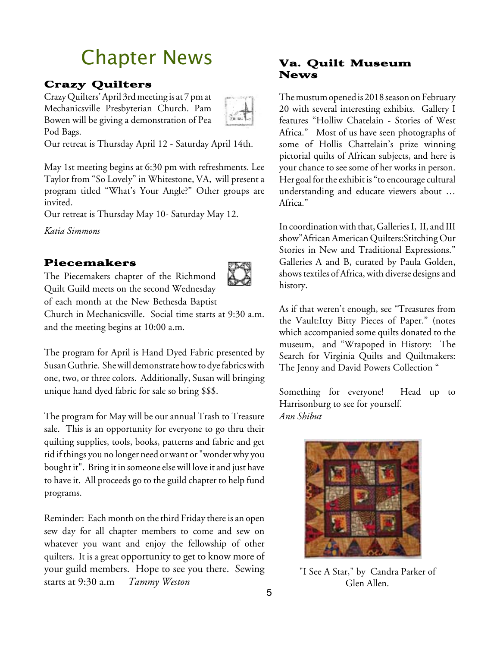# Chapter News

## Crazy Quilters

CrazyQuilters'April 3rdmeeting is at 7 pmat Mechanicsville Presbyterian Church. Pam Bowen will be giving a demonstration of Pea Pod Bags.



Our retreat is Thursday April 12 - Saturday April 14th.

May 1st meeting begins at 6:30 pm with refreshments. Lee Taylor from "So Lovely" in Whitestone, VA, will present a program titled "What's Your Angle?" Other groups are invited.

Our retreat is Thursday May 10- Saturday May 12.

*Katia Simmons*

## Piecemakers

The Piecemakers chapter of the Richmond Quilt Guild meets on the second Wednesday



of each month at the New Bethesda Baptist

Church in Mechanicsville. Social time starts at 9:30 a.m. and the meeting begins at 10:00 a.m.

The program for April is Hand Dyed Fabric presented by Susan Guthrie. She will demonstrate how to dye fabrics with one, two, or three colors. Additionally, Susan will bringing unique hand dyed fabric for sale so bring \$\$\$.

The program for May will be our annual Trash to Treasure sale. This is an opportunity for everyone to go thru their quilting supplies, tools, books, patterns and fabric and get rid if things you no longer need orwant or "wonderwhy you bought it". Bring it in someone else will love it and just have to have it. All proceeds go to the guild chapter to help fund programs.

Reminder: Each month on the third Friday there is an open sew day for all chapter members to come and sew on whatever you want and enjoy the fellowship of other quilters. It is a great opportunity to get to know more of your guild members. Hope to see you there. Sewing starts at 9:30 a.m *Tammy Weston*

## Va. Quilt Museum News

The mustum opened is 2018 season on February 20 with several interesting exhibits. Gallery I features "Holliw Chatelain - Stories of West Africa." Most of us have seen photographs of some of Hollis Chattelain's prize winning pictorial quilts of African subjects, and here is your chance to see some of her works in person. Her goal for the exhibit is "to encourage cultural understanding and educate viewers about … Africa."

In coordination with that, Galleries I, II, and III show"African American Quilters:Stitching Our Stories in New and Traditional Expressions." Galleries A and B, curated by Paula Golden, shows textiles of Africa, with diverse designs and history.

As if that weren't enough, see "Treasures from the Vault:Itty Bitty Pieces of Paper." (notes which accompanied some quilts donated to the museum, and "Wrapoped in History: The Search for Virginia Quilts and Quiltmakers: The Jenny and David Powers Collection "

Something for everyone! Head up to Harrisonburg to see for yourself. *Ann Shibut*



"I See A Star," by Candra Parker of Glen Allen.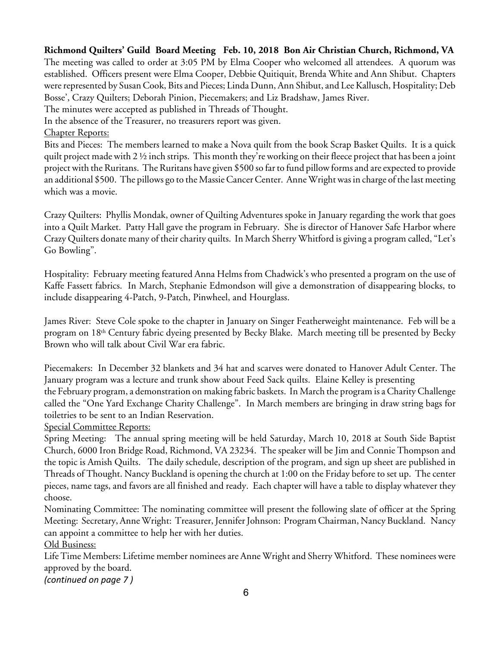**Richmond Quilters' Guild Board Meeting Feb. 10, 2018 Bon Air Christian Church, Richmond, VA** The meeting was called to order at 3:05 PM by Elma Cooper who welcomed all attendees. A quorum was established. Officers present were Elma Cooper, Debbie Quitiquit, Brenda White and Ann Shibut. Chapters were represented by Susan Cook, Bits and Pieces; Linda Dunn, Ann Shibut, and Lee Kallusch, Hospitality; Deb Bosse', Crazy Quilters; Deborah Pinion, Piecemakers; and Liz Bradshaw, James River.

The minutes were accepted as published in Threads of Thought.

In the absence of the Treasurer, no treasurers report was given.

#### Chapter Reports:

Bits and Pieces: The members learned to make a Nova quilt from the book Scrap Basket Quilts. It is a quick quilt project made with  $2 \frac{1}{2}$  inch strips. This month they're working on their fleece project that has been a joint project with the Ruritans. The Ruritans have given \$500 so far to fund pillow forms and are expected to provide an additional \$500. The pillows go to the MassieCancerCenter. Anne Wright was in charge of thelast meeting which was a movie.

Crazy Quilters: Phyllis Mondak, owner of Quilting Adventures spoke in January regarding the work that goes into a Quilt Market. Patty Hall gave the program in February. She is director of Hanover Safe Harbor where Crazy Quilters donate many of their charity quilts. In March Sherry Whitford is giving a program called, "Let's Go Bowling".

Hospitality: February meeting featured Anna Helms from Chadwick's who presented a program on the use of Kaffe Fassett fabrics. In March, Stephanie Edmondson will give a demonstration of disappearing blocks, to include disappearing 4-Patch, 9-Patch, Pinwheel, and Hourglass.

James River: Steve Cole spoke to the chapter in January on Singer Featherweight maintenance. Feb will be a program on 18<sup>th</sup> Century fabric dyeing presented by Becky Blake. March meeting till be presented by Becky Brown who will talk about Civil War era fabric.

Piecemakers: In December 32 blankets and 34 hat and scarves were donated to Hanover Adult Center. The January program was a lecture and trunk show about Feed Sack quilts. Elaine Kelley is presenting the February program, a demonstration on making fabric baskets. In March the program is aCharityChallenge called the "One Yard Exchange Charity Challenge". In March members are bringing in draw string bags for toiletries to be sent to an Indian Reservation.

Special Committee Reports:

Spring Meeting: The annual spring meeting will be held Saturday, March 10, 2018 at South Side Baptist Church, 6000 Iron Bridge Road, Richmond, VA 23234. The speaker will be Jim and Connie Thompson and the topic is Amish Quilts. The daily schedule, description of the program, and sign up sheet are published in Threads of Thought. Nancy Buckland is opening the church at 1:00 on the Friday before to set up. The center pieces, name tags, and favors are all finished and ready. Each chapter will have a table to display whatever they choose.

Nominating Committee: The nominating committee will present the following slate of officer at the Spring Meeting: Secretary, Anne Wright: Treasurer, Jennifer Johnson: Program Chairman, Nancy Buckland. Nancy can appoint a committee to help her with her duties.

Old Business:

Life Time Members: Lifetime member nominees are Anne Wright and Sherry Whitford. These nominees were approved by the board.

*(continued on page 7 )*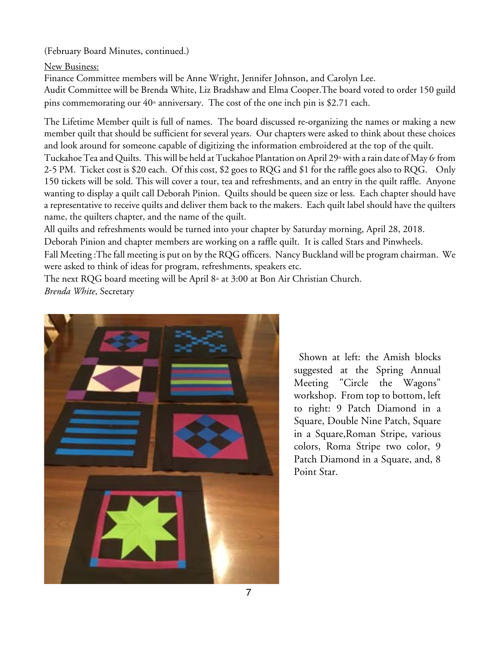(February Board Minutes, continued.)

New Business:

Finance Committee members will be Anne Wright, Jennifer Johnson, and Carolyn Lee. Audit Committee will be Brenda White, Liz Bradshaw and Elma Cooper.The board voted to order 150 guild pins commemorating our  $40<sup>th</sup>$  anniversary. The cost of the one inch pin is \$2.71 each.

The Lifetime Member quilt is full of names. The board discussed re-organizing the names or making a new member quilt that should be sufficient for several years. Our chapters were asked to think about these choices and look around for someone capable of digitizing the information embroidered at the top of the quilt. Tuckahoe Tea and Quilts. This will be held at Tuckahoe Plantation on April 29<sup>th</sup> with a rain date of May 6t from 2-5 PM. Ticket cost is \$20 each. Of this cost, \$2 goes to RQG and \$1 for the raffle goes also to RQG. Only 150 tickets will be sold. This will cover a tour, tea and refreshments, and an entry in the quilt raffle. Anyone wanting to display a quilt call Deborah Pinion. Quilts should be queen size or less. Each chapter should have a representative to receive quilts and deliver them back to the makers. Each quilt label should have the quilters name, the quilters chapter, and the name of the quilt.

All quilts and refreshments would be turned into your chapter by Saturday morning, April 28, 2018.

Deborah Pinion and chapter members are working on a raffle quilt. It is called Stars and Pinwheels.

Fall Meeting :Thefall meeting is put on by the RQG officers. Nancy Buckland will be program chairman. We were asked to think of ideas for program, refreshments, speakers etc.

The next RQG board meeting will be April 8<sup>th</sup> at 3:00 at Bon Air Christian Church. *Brenda White*, Secretary



Shown at left: the Amish blocks suggested at the Spring Annual Meeting "Circle the Wagons" workshop. From top to bottom, left to right: 9 Patch Diamond in a Square, Double Nine Patch, Square in a Square,Roman Stripe, various colors, Roma Stripe two color, 9 Patch Diamond in a Square, and, 8 Point Star.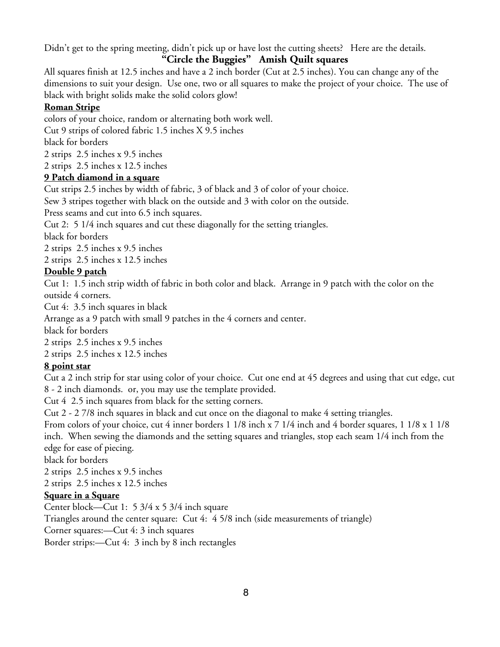Didn't get to the spring meeting, didn't pick up or have lost the cutting sheets? Here are the details.

## **"Circle the Buggies" Amish Quilt squares**

All squares finish at 12.5 inches and have a 2 inch border (Cut at 2.5 inches). You can change any of the dimensions to suit your design. Use one, two or all squares to make the project of your choice. The use of black with bright solids make the solid colors glow!

### **Roman Stripe**

colors of your choice, random or alternating both work well.

Cut 9 strips of colored fabric 1.5 inches X 9.5 inches

black for borders

2 strips 2.5 inches x 9.5 inches

2 strips 2.5 inches x 12.5 inches

## **9 Patch diamond in a square**

Cut strips 2.5 inches by width of fabric, 3 of black and 3 of color of your choice.

Sew 3 stripes together with black on the outside and 3 with color on the outside.

Press seams and cut into 6.5 inch squares.

Cut 2: 5 1/4 inch squares and cut these diagonally for the setting triangles.

black for borders

2 strips 2.5 inches x 9.5 inches

2 strips 2.5 inches x 12.5 inches

## **Double 9 patch**

Cut 1: 1.5 inch strip width of fabric in both color and black. Arrange in 9 patch with the color on the outside 4 corners.

Cut 4: 3.5 inch squares in black

Arrange as a 9 patch with small 9 patches in the 4 corners and center.

black for borders

2 strips 2.5 inches x 9.5 inches

2 strips 2.5 inches x 12.5 inches

## **8 point star**

Cut a 2 inch strip for star using color of your choice. Cut one end at 45 degrees and using that cut edge, cut 8 - 2 inch diamonds. or, you may use the template provided.

Cut 4 2.5 inch squares from black for the setting corners.

Cut 2 - 2 7/8 inch squares in black and cut once on the diagonal to make 4 setting triangles.

From colors of your choice, cut 4 inner borders 1 1/8 inch x 7 1/4 inch and 4 border squares, 1 1/8 x 1 1/8 inch. When sewing the diamonds and the setting squares and triangles, stop each seam 1/4 inch from the edge for ease of piecing.

black for borders

2 strips 2.5 inches x 9.5 inches

2 strips 2.5 inches x 12.5 inches

## **Square in a Square**

Center block—Cut 1: 5 3/4 x 5 3/4 inch square

Triangles around the center square: Cut 4: 4 5/8 inch (side measurements of triangle)

Corner squares:—Cut 4: 3 inch squares

Border strips:—Cut 4: 3 inch by 8 inch rectangles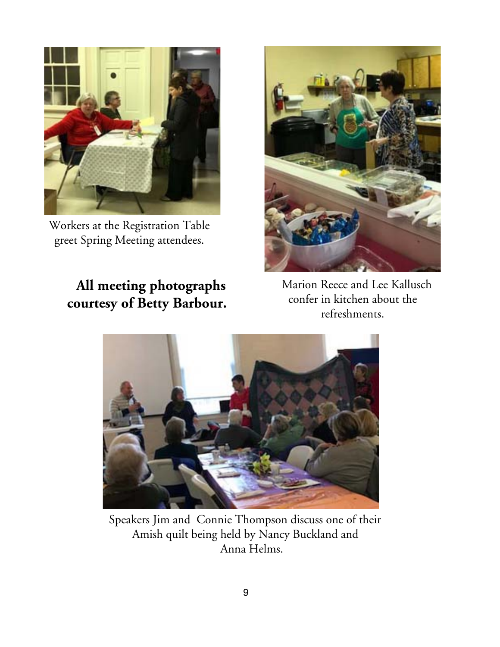

Workers at the Registration Table greet Spring Meeting attendees.

## **All meeting photographs courtesy of Betty Barbour.**



Marion Reece and Lee Kallusch confer in kitchen about the refreshments.



Speakers Jim and Connie Thompson discuss one of their Amish quilt being held by Nancy Buckland and Anna Helms.